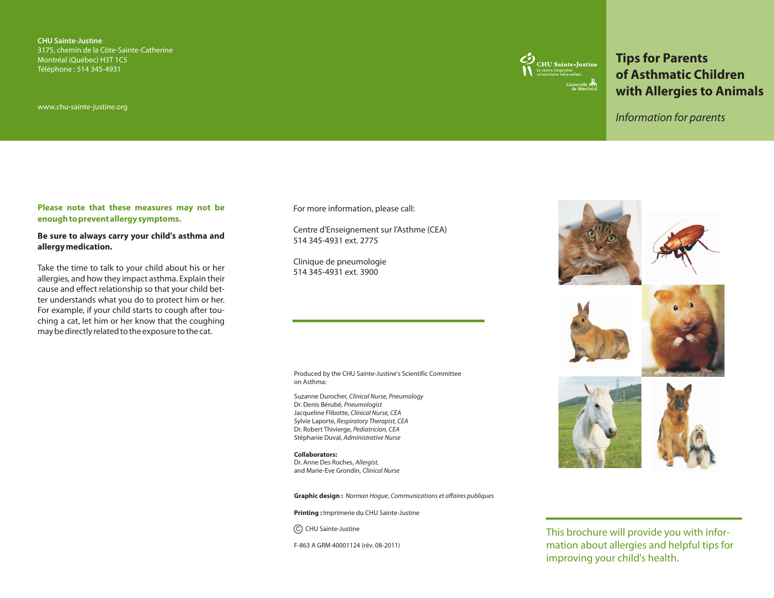**CHU Sainte-Justine** 3175, chemin de la Côte-Sainte-Catherine Montréal (Québec) H3T 1C5 Téléphone : 514 345-4931

www.chu-sainte-justine.org



# **Tips for Parents of Asthmatic Children with Allergies to Animals**

*Information for parents*

#### **Please note that these measures may not be enough to prevent allergy symptoms.**

#### **Be sure to always carry your child's asthma and allergy medication.**

Take the time to talk to your child about his or her allergies, and how they impact asthma. Explain their cause and effect relationship so that your child better understands what you do to protect him or her. For example, if your child starts to cough after touching a cat, let him or her know that the coughing may be directly related to the exposure to the cat.

For more information, please call:

Centre d'Enseignement sur l'Asthme (CEA) 514 345-4931 ext. 2775

Clinique de pneumologie 514 345-4931 ext. 3900

Produced by the CHU Sainte-Justine's Scientific Committee on Asthma:

Suzanne Durocher, *Clinical Nurse, Pneumology* Dr. Denis Bérubé, *Pneumologist*  Jacqueline Flibotte, *Clinical Nurse, CEA* Sylvie Laporte, *Respiratory Therapist, CEA* Dr. Robert Thivierge, *Pediatrician, CEA* Stéphanie Duval, *Administrative Nurse*

**Collaborators:**  Dr. Anne Des Roches, *Allergist*, and Marie-Eve Grondin, *Clinical Nurse*

**Graphic design :** *Norman Hogue*, *Communications et affaires publiques*

**Printing :** Imprimerie du CHU Sainte-Justine

C) CHU Sainte-Justine

F-863 A GRM 40001124 (rév. 08-2011)









This brochure will provide you with information about allergies and helpful tips for improving your child's health.